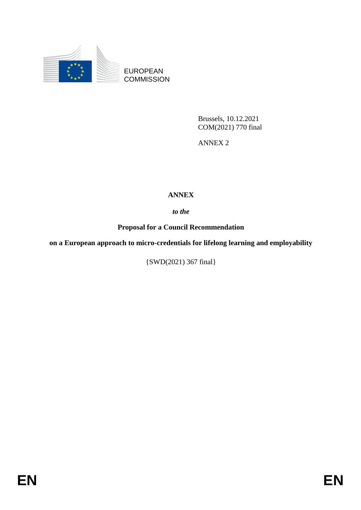

EUROPEAN **COMMISSION** 

> Brussels, 10.12.2021 COM(2021) 770 final

ANNEX 2

## **ANNEX**

*to the* 

**Proposal for a Council Recommendation**

**on a European approach to micro-credentials for lifelong learning and employability**

{SWD(2021) 367 final}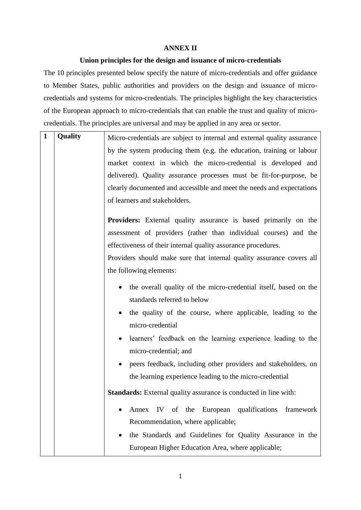## **ANNEX II**

## **Union principles for the design and issuance of micro-credentials**

The 10 principles presented below specify the nature of micro-credentials and offer guidance to Member States, public authorities and providers on the design and issuance of microcredentials and systems for micro-credentials. The principles highlight the key characteristics of the European approach to micro-credentials that can enable the trust and quality of microcredentials. The principles are universal and may be applied in any area or sector.

| $\mathbf{1}$ | Quality | Micro-credentials are subject to internal and external quality assurance                                     |
|--------------|---------|--------------------------------------------------------------------------------------------------------------|
|              |         | by the system producing them (e.g. the education, training or labour                                         |
|              |         | market context in which the micro-credential is developed and                                                |
|              |         | delivered). Quality assurance processes must be fit-for-purpose, be                                          |
|              |         | clearly documented and accessible and meet the needs and expectations                                        |
|              |         | of learners and stakeholders.                                                                                |
|              |         | <b>Providers:</b> External quality assurance is based primarily on the                                       |
|              |         | assessment of providers (rather than individual courses) and the                                             |
|              |         | effectiveness of their internal quality assurance procedures.                                                |
|              |         | Providers should make sure that internal quality assurance covers all                                        |
|              |         | the following elements:                                                                                      |
|              |         | the overall quality of the micro-credential itself, based on the<br>$\bullet$<br>standards referred to below |
|              |         | the quality of the course, where applicable, leading to the<br>micro-credential                              |
|              |         | learners' feedback on the learning experience leading to the<br>micro-credential; and                        |
|              |         | peers feedback, including other providers and stakeholders, on                                               |
|              |         | the learning experience leading to the micro-credential                                                      |
|              |         | Standards: External quality assurance is conducted in line with:                                             |
|              |         | IV of the European qualifications framework<br>Annex                                                         |
|              |         | Recommendation, where applicable;                                                                            |
|              |         | the Standards and Guidelines for Quality Assurance in the                                                    |
|              |         | European Higher Education Area, where applicable;                                                            |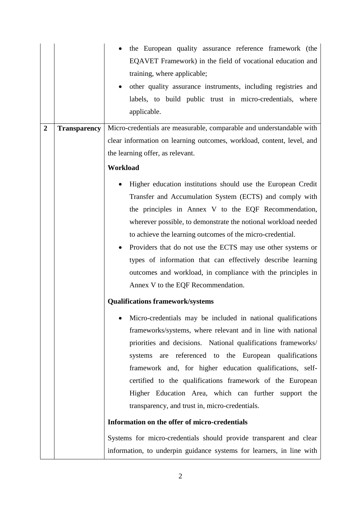| $\overline{2}$ | <b>Transparency</b> | the European quality assurance reference framework (the<br>EQAVET Framework) in the field of vocational education and<br>training, where applicable;<br>other quality assurance instruments, including registries and<br>$\bullet$<br>labels, to build public trust in micro-credentials, where<br>applicable.<br>Micro-credentials are measurable, comparable and understandable with<br>clear information on learning outcomes, workload, content, level, and                                                                                        |
|----------------|---------------------|--------------------------------------------------------------------------------------------------------------------------------------------------------------------------------------------------------------------------------------------------------------------------------------------------------------------------------------------------------------------------------------------------------------------------------------------------------------------------------------------------------------------------------------------------------|
|                |                     | the learning offer, as relevant.                                                                                                                                                                                                                                                                                                                                                                                                                                                                                                                       |
|                |                     | Workload                                                                                                                                                                                                                                                                                                                                                                                                                                                                                                                                               |
|                |                     | Higher education institutions should use the European Credit<br>Transfer and Accumulation System (ECTS) and comply with<br>the principles in Annex V to the EQF Recommendation,<br>wherever possible, to demonstrate the notional workload needed<br>to achieve the learning outcomes of the micro-credential.<br>Providers that do not use the ECTS may use other systems or<br>٠<br>types of information that can effectively describe learning<br>outcomes and workload, in compliance with the principles in<br>Annex V to the EQF Recommendation. |
|                |                     | <b>Qualifications framework/systems</b>                                                                                                                                                                                                                                                                                                                                                                                                                                                                                                                |
|                |                     | Micro-credentials may be included in national qualifications<br>frameworks/systems, where relevant and in line with national<br>priorities and decisions. National qualifications frameworks/<br>referenced to the European qualifications<br>systems<br>are<br>framework and, for higher education qualifications, self-<br>certified to the qualifications framework of the European<br>Higher Education Area, which can further support the<br>transparency, and trust in, micro-credentials.                                                       |
|                |                     | Information on the offer of micro-credentials                                                                                                                                                                                                                                                                                                                                                                                                                                                                                                          |
|                |                     | Systems for micro-credentials should provide transparent and clear<br>information, to underpin guidance systems for learners, in line with                                                                                                                                                                                                                                                                                                                                                                                                             |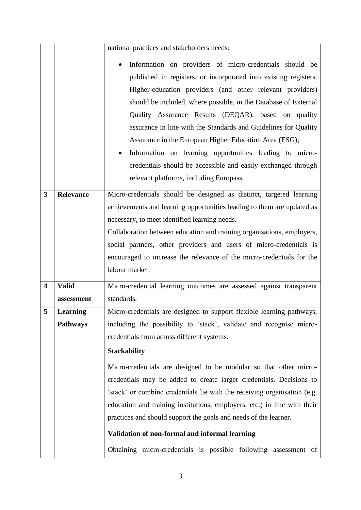|                         |                  | national practices and stakeholders needs:                                                                                                                                                                                                                                                                                                                                                                                                                                                                                                                                                                             |
|-------------------------|------------------|------------------------------------------------------------------------------------------------------------------------------------------------------------------------------------------------------------------------------------------------------------------------------------------------------------------------------------------------------------------------------------------------------------------------------------------------------------------------------------------------------------------------------------------------------------------------------------------------------------------------|
|                         |                  | Information on providers of micro-credentials should be<br>published in registers, or incorporated into existing registers.<br>Higher-education providers (and other relevant providers)<br>should be included, where possible, in the Database of External<br>Quality Assurance Results (DEQAR), based on quality<br>assurance in line with the Standards and Guidelines for Quality<br>Assurance in the European Higher Education Area (ESG);<br>Information on learning opportunities leading to micro-<br>credentials should be accessible and easily exchanged through<br>relevant platforms, including Europass. |
| $\overline{\mathbf{3}}$ | <b>Relevance</b> | Micro-credentials should be designed as distinct, targeted learning                                                                                                                                                                                                                                                                                                                                                                                                                                                                                                                                                    |
|                         |                  | achievements and learning opportunities leading to them are updated as                                                                                                                                                                                                                                                                                                                                                                                                                                                                                                                                                 |
|                         |                  | necessary, to meet identified learning needs.                                                                                                                                                                                                                                                                                                                                                                                                                                                                                                                                                                          |
|                         |                  | Collaboration between education and training organisations, employers,                                                                                                                                                                                                                                                                                                                                                                                                                                                                                                                                                 |
|                         |                  | social partners, other providers and users of micro-credentials is                                                                                                                                                                                                                                                                                                                                                                                                                                                                                                                                                     |
|                         |                  | encouraged to increase the relevance of the micro-credentials for the<br>labour market.                                                                                                                                                                                                                                                                                                                                                                                                                                                                                                                                |
| $\overline{\mathbf{4}}$ | <b>Valid</b>     | Micro-credential learning outcomes are assessed against transparent                                                                                                                                                                                                                                                                                                                                                                                                                                                                                                                                                    |
|                         | assessment       | standards.                                                                                                                                                                                                                                                                                                                                                                                                                                                                                                                                                                                                             |
| 5                       | <b>Learning</b>  | Micro-credentials are designed to support flexible learning pathways,                                                                                                                                                                                                                                                                                                                                                                                                                                                                                                                                                  |
|                         | <b>Pathways</b>  | including the possibility to 'stack', validate and recognise micro-                                                                                                                                                                                                                                                                                                                                                                                                                                                                                                                                                    |
|                         |                  | credentials from across different systems.                                                                                                                                                                                                                                                                                                                                                                                                                                                                                                                                                                             |
|                         |                  | <b>Stackability</b>                                                                                                                                                                                                                                                                                                                                                                                                                                                                                                                                                                                                    |
|                         |                  | Micro-credentials are designed to be modular so that other micro-                                                                                                                                                                                                                                                                                                                                                                                                                                                                                                                                                      |
|                         |                  | credentials may be added to create larger credentials. Decisions to                                                                                                                                                                                                                                                                                                                                                                                                                                                                                                                                                    |
|                         |                  | 'stack' or combine credentials lie with the receiving organisation (e.g.                                                                                                                                                                                                                                                                                                                                                                                                                                                                                                                                               |
|                         |                  | education and training institutions, employers, etc.) in line with their                                                                                                                                                                                                                                                                                                                                                                                                                                                                                                                                               |
|                         |                  | practices and should support the goals and needs of the learner.                                                                                                                                                                                                                                                                                                                                                                                                                                                                                                                                                       |
|                         |                  | Validation of non-formal and informal learning                                                                                                                                                                                                                                                                                                                                                                                                                                                                                                                                                                         |
|                         |                  | Obtaining micro-credentials is possible following assessment of                                                                                                                                                                                                                                                                                                                                                                                                                                                                                                                                                        |